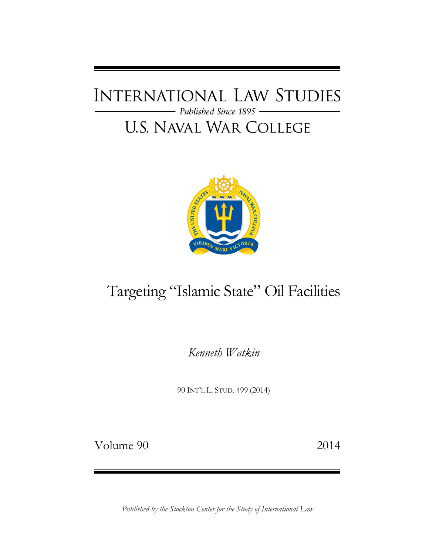## **INTERNATIONAL LAW STUDIES** - Published Since 1895 -**U.S. NAVAL WAR COLLEGE**



# Targeting "Islamic State" Oil Facilities

*Kenneth Watkin*

90 INT'L L. STUD. 499 (2014)

Volume 90 2014

*Published by the Stockton Center for the Study of International Law*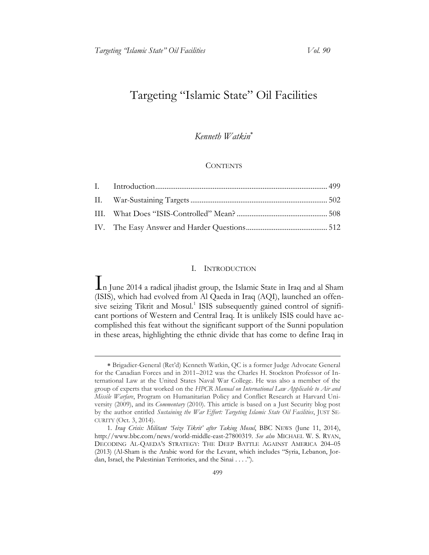### Targeting "Islamic State" Oil Facilities

#### *Kenneth Watkin*

#### **CONTENTS**

#### I. INTRODUCTION

<span id="page-1-0"></span>In June 2014 a radical jihadist group, the Islamic State in Iraq and al Sham (ISIS), which had evolved from Al Qaeda in Iraq (AQI), launched an offensive seizing Tikrit and Mosul.<sup>1</sup> ISIS subsequently gained control of significant portions of Western and Central Iraq. It is unlikely ISIS could have accomplished this feat without the significant support of the Sunni population in these areas, highlighting the ethnic divide that has come to define Iraq in

Brigadier-General (Ret'd) Kenneth Watkin, QC is a former Judge Advocate General for the Canadian Forces and in 2011–2012 was the Charles H. Stockton Professor of International Law at the United States Naval War College. He was also a member of the group of experts that worked on the *HPCR Manual on International Law Applicable to Air and Missile Warfare*, Program on Humanitarian Policy and Conflict Research at Harvard University (2009), and its *Commentary* (2010). This article is based on a Just Security blog post by the author entitled *Sustaining the War Effort: Targeting Islamic State Oil Facilities*, JUST SE-CURITY (Oct. 3, 2014).

<sup>1.</sup> *Iraq Crisis: Militant 'Seize Tikrit' after Taking Mosul*, BBC NEWS (June 11, 2014), http://www.bbc.com/news/world-middle-east-27800319. *See also* MICHAEL W. S. RYAN, DECODING AL-QAEDA'S STRATEGY: THE DEEP BATTLE AGAINST AMERICA 204–05 (2013) (Al-Sham is the Arabic word for the Levant, which includes "Syria, Lebanon, Jordan, Israel, the Palestinian Territories, and the Sinai . . . .").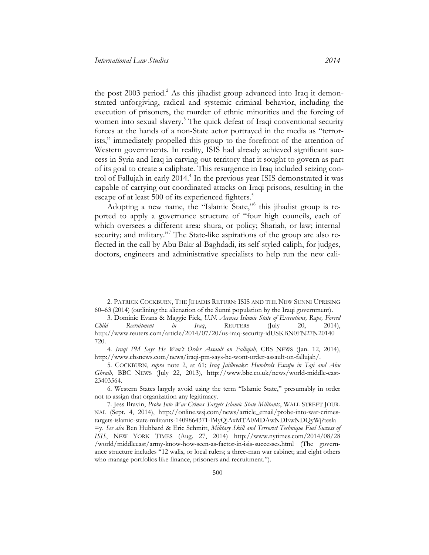the post  $2003$  period.<sup>2</sup> As this jihadist group advanced into Iraq it demonstrated unforgiving, radical and systemic criminal behavior, including the execution of prisoners, the murder of ethnic minorities and the forcing of women into sexual slavery.<sup>3</sup> The quick defeat of Iraqi conventional security forces at the hands of a non-State actor portrayed in the media as "terrorists," immediately propelled this group to the forefront of the attention of Western governments. In reality, ISIS had already achieved significant success in Syria and Iraq in carving out territory that it sought to govern as part of its goal to create a caliphate. This resurgence in Iraq included seizing control of Fallujah in early 2014.<sup>4</sup> In the previous year ISIS demonstrated it was capable of carrying out coordinated attacks on Iraqi prisons, resulting in the escape of at least 500 of its experienced fighters.<sup>5</sup>

Adopting a new name, the "Islamic State,"<sup>6</sup> this jihadist group is reported to apply a governance structure of "four high councils, each of which oversees a different area: shura, or policy; Shariah, or law; internal security; and military."<sup>7</sup> The State-like aspirations of the group are also reflected in the call by Abu Bakr al-Baghdadi, its self-styled caliph, for judges, doctors, engineers and administrative specialists to help run the new cali-

<sup>2.</sup> PATRICK COCKBURN, THE JIHADIS RETURN: ISIS AND THE NEW SUNNI UPRISING 60–63 (2014) (outlining the alienation of the Sunni population by the Iraqi government).

<sup>3.</sup> Dominic Evans & Maggie Fick, *U.N. Accuses Islamic State of Executions, Rape, Forced Child Recruitment in Iraq*, REUTERS (July 20, 2014), [http://www.reuters.com/article/2014/07/20/us-iraq-security-idUSKBN0FN27N20140](http://www.reuters.com/article/2014/07/20/us-iraq-security-idUSKBN0FN27N20140 720)  720.

<sup>4.</sup> *Iraqi PM Says He Won't Order Assault on Fallujah*, CBS NEWS (Jan. 12, 2014), http://www.cbsnews.com/news/iraqi-pm-says-he-wont-order-assault-on-fallujah/.

<sup>5.</sup> COCKBURN, *supra* note 2, at 61; *Iraq Jailbreaks: Hundreds Escape in Taji and Abu Ghraib*, BBC NEWS (July 22, 2013), http://www.bbc.co.uk/news/world-middle-east-23403564.

<sup>6.</sup> Western States largely avoid using the term "Islamic State," presumably in order not to assign that organization any legitimacy.

<sup>7.</sup> Jess Bravin, *Probe Into War Crimes Targets Islamic State Militants*, WALL STREET JOUR-NAL (Sept. 4, 2014), http://online.wsj.com/news/article\_email/probe-into-war-crimes[targets-islamic-state-militants-1409864371-lMyQjAxMTA0MDAwNDEwNDQyWj?tesla](http://online.wsj.com/news/article_email/probe-into-war-crimes-targets-islamic-state-militants-1409864371-lMyQjAxMTA0MDAwNDEwNDQyWj?tesla =y)  =y. *See also* Ben Hubbard & Eric Schmitt, *Military Skill and Terrorist Technique Fuel Success of ISIS*, NEW YORK TIMES (Aug. 27, 2014) http://www.nytimes.co[m/2014/08/28](http://www.nytimes.com/2014/08/28/world/middleeast/army-know-how-seen-as-factor-in-isis-successes.html)  [/world/middleeast/army-know-how-seen-as-factor-in-isis-successes.html](http://www.nytimes.com/2014/08/28/world/middleeast/army-know-how-seen-as-factor-in-isis-successes.html) (The governance structure includes "12 walis, or local rulers; a three-man war cabinet; and eight others who manage portfolios like finance, prisoners and recruitment.").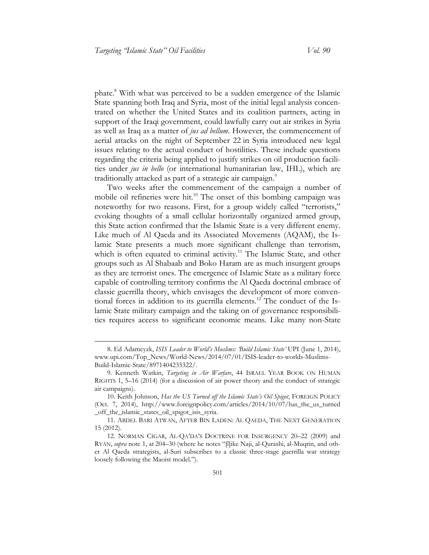phate.<sup>8</sup> With what was perceived to be a sudden emergence of the Islamic State spanning both Iraq and Syria, most of the initial legal analysis concentrated on whether the United States and its coalition partners, acting in support of the Iraqi government, could lawfully carry out air strikes in Syria as well as Iraq as a matter of *jus ad bellum*. However, the commencement of aerial attacks on the night of September 22 in Syria introduced new legal issues relating to the actual conduct of hostilities. These include questions regarding the criteria being applied to justify strikes on oil production facilities under *jus in bello* (or international humanitarian law, IHL), which are traditionally attacked as part of a strategic air campaign.<sup>9</sup>

Two weeks after the commencement of the campaign a number of mobile oil refineries were hit.<sup>10</sup> The onset of this bombing campaign was noteworthy for two reasons. First, for a group widely called "terrorists," evoking thoughts of a small cellular horizontally organized armed group, this State action confirmed that the Islamic State is a very different enemy. Like much of Al Qaeda and its Associated Movements (AQAM), the Islamic State presents a much more significant challenge than terrorism, which is often equated to criminal activity.<sup>11</sup> The Islamic State, and other groups such as Al Shabaab and Boko Haram are as much insurgent groups as they are terrorist ones. The emergence of Islamic State as a military force capable of controlling territory confirms the Al Qaeda doctrinal embrace of classic guerrilla theory, which envisages the development of more conventional forces in addition to its guerrilla elements.<sup>12</sup> The conduct of the Islamic State military campaign and the taking on of governance responsibilities requires access to significant economic means. Like many non-State

<sup>8.</sup> Ed Adamcyzk, *ISIS Leader to World's Muslims: 'Build Islamic State'* UPI (June 1, 2014), www.upi.com/Top\_News/World-News/2014/07/01/ISIS-leader-to-worlds-Muslims-Build-Islamic-State/8971404235322/.

<sup>9.</sup> Kenneth Watkin, *Targeting in Air Warfare*, 44 ISRAEL YEAR BOOK ON HUMAN RIGHTS 1, 5–16 (2014) (for a discussion of air power theory and the conduct of strategic air campaigns).

<sup>10.</sup> Keith Johnson, *Has the US Turned off the Islamic State's Oil Spigot*, FOREIGN POLICY (Oct. 7, 2014), [http://www.foreignpolicy.com/articles/2014/10/07/has\\_the\\_us\\_turned](http://www.foreignpolicy.com/articles/2014/10/07/has_the_us_turned_off_the_islamic_states_oil_spigot_isis_syria)  \_off\_the\_islamic\_states\_oil\_spigot\_isis\_syria.

<sup>11.</sup> ABDEL BARI ATWAN, AFTER BIN LADEN: AL QAEDA, THE NEXT GENERATION 15 (2012).

<sup>12.</sup> NORMAN CIGAR, AL-QA'DA'S DOCTRINE FOR INSURGENCY 20–22 (2009) and RYAN, *supra* note 1, at 204–30 (where he notes "[l]ike Naji, al-Qurashi, al-Muqrin, and other Al Qaeda strategists, al-Suri subscribes to a classic three-stage guerrilla war strategy loosely following the Maoist model.").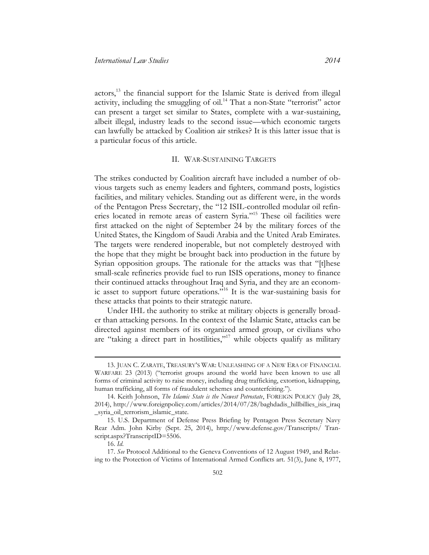actors,<sup>13</sup> the financial support for the Islamic State is derived from illegal activity, including the smuggling of oil.<sup>14</sup> That a non-State "terrorist" actor can present a target set similar to States, complete with a war-sustaining, albeit illegal, industry leads to the second issue—which economic targets can lawfully be attacked by Coalition air strikes? It is this latter issue that is a particular focus of this article.

#### II. WAR-SUSTAINING TARGETS

<span id="page-4-0"></span>The strikes conducted by Coalition aircraft have included a number of obvious targets such as enemy leaders and fighters, command posts, logistics facilities, and military vehicles. Standing out as different were, in the words of the Pentagon Press Secretary, the "12 ISIL-controlled modular oil refineries located in remote areas of eastern Syria."<sup>15</sup> These oil facilities were first attacked on the night of September 24 by the military forces of the United States, the Kingdom of Saudi Arabia and the United Arab Emirates. The targets were rendered inoperable, but not completely destroyed with the hope that they might be brought back into production in the future by Syrian opposition groups. The rationale for the attacks was that "[t]hese small-scale refineries provide fuel to run ISIS operations, money to finance their continued attacks throughout Iraq and Syria, and they are an economic asset to support future operations."<sup>16</sup> It is the war-sustaining basis for these attacks that points to their strategic nature.

Under IHL the authority to strike at military objects is generally broader than attacking persons. In the context of the Islamic State, attacks can be directed against members of its organized armed group, or civilians who are "taking a direct part in hostilities,"<sup>17</sup> while objects qualify as military

<sup>13.</sup> JUAN C. ZARATE, TREASURY'S WAR: UNLEASHING OF A NEW ERA OF FINANCIAL WARFARE 23 (2013) ("terrorist groups around the world have been known to use all forms of criminal activity to raise money, including drug trafficking, extortion, kidnapping, human trafficking, all forms of fraudulent schemes and counterfeiting.").

<sup>14.</sup> Keith Johnson, *The Islamic State is the Newest Petrostate*, FOREIGN POLICY (July 28, 2014), [http://www.foreignpolicy.com/articles/2014/07/28/baghdadis\\_hillbillies\\_isis\\_iraq](http://www.foreignpolicy.com/articles/2014/07/28/baghdadis_hillbillies_isis_iraq_syria_oil_terrorism_islamic_state)  \_syria\_oil\_terrorism\_islamic\_state.

<sup>15.</sup> U.S. Department of Defense Press Briefing by Pentagon Press Secretary Navy Rear Adm. John Kirby (Sept. 25, 2014), [http://www.defense.gov/Transcripts/ Tran](http://www.defense.gov/Transcripts/Transcript.aspx?TranscriptID=5506)[script.aspx?TranscriptID=5506.](http://www.defense.gov/Transcripts/Transcript.aspx?TranscriptID=5506) 

<sup>16.</sup> *Id*.

<sup>17.</sup> *See* Protocol Additional to the Geneva Conventions of 12 August 1949, and Relating to the Protection of Victims of International Armed Conflicts art. 51(3), June 8, 1977,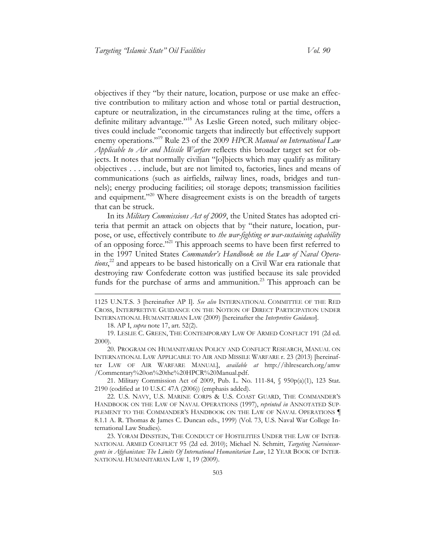objectives if they "by their nature, location, purpose or use make an effective contribution to military action and whose total or partial destruction, capture or neutralization, in the circumstances ruling at the time, offers a definite military advantage."<sup>18</sup> As Leslie Green noted, such military objectives could include "economic targets that indirectly but effectively support enemy operations."<sup>19</sup> Rule 23 of the 2009 *HPCR Manual on International Law Applicable to Air and Missile Warfare* reflects this broader target set for objects. It notes that normally civilian "[o]bjects which may qualify as military objectives . . . include, but are not limited to, factories, lines and means of communications (such as airfields, railway lines, roads, bridges and tunnels); energy producing facilities; oil storage depots; transmission facilities and equipment."<sup>20</sup> Where disagreement exists is on the breadth of targets that can be struck.

In its *Military Commissions Act of 2009*, the United States has adopted criteria that permit an attack on objects that by "their nature, location, purpose, or use, effectively contribute to *the war-fighting or war-sustaining capability*  of an opposing force."<sup>21</sup> This approach seems to have been first referred to in the 1997 United States *Commander's Handbook on the Law of Naval Operations*, <sup>22</sup> and appears to be based historically on a Civil War era rationale that destroying raw Confederate cotton was justified because its sale provided funds for the purchase of arms and ammunition.<sup>23</sup> This approach can be

18. AP I, *supra* note 17, art. 52(2).

 $\overline{a}$ 

19. LESLIE C. GREEN, THE CONTEMPORARY LAW OF ARMED CONFLICT 191 (2d ed. 2000).

20. PROGRAM ON HUMANITARIAN POLICY AND CONFLICT RESEARCH, MANUAL ON INTERNATIONAL LAW APPLICABLE TO AIR AND MISSILE WARFARE r. 23 (2013) [hereinafter LAW OF AIR WARFARE MANUAL], *available at* [http://ihlresearch.org/amw](http://ihlresearch.org/amw/Commentary%20on%20the%20HPCR%20Manual.pdf)  [/Commentary%20on%20the%20HPCR%20Manual.pdf.](http://ihlresearch.org/amw/Commentary%20on%20the%20HPCR%20Manual.pdf)

21. Military Commission Act of 2009, Pub. L. No. 111-84, § 950p(a)(1), 123 Stat. 2190 (codified at 10 U.S.C 47A (2006)) (emphasis added).

22. U.S. NAVY, U.S. MARINE CORPS & U.S. COAST GUARD, THE COMMANDER'S HANDBOOK ON THE LAW OF NAVAL OPERATIONS (1997), *reprinted in* ANNOTATED SUP-PLEMENT TO THE COMMANDER'S HANDBOOK ON THE LAW OF NAVAL OPERATIONS 8.1.1 A. R. Thomas & James C. Duncan eds., 1999) (Vol. 73, U.S. Naval War College International Law Studies).

23. YORAM DINSTEIN, THE CONDUCT OF HOSTILITIES UNDER THE LAW OF INTER-NATIONAL ARMED CONFLICT 95 (2d ed. 2010); Michael N. Schmitt, *Targeting Narcoinsurgents in Afghanistan: The Limits Of International Humanitarian Law*, 12 YEAR BOOK OF INTER-NATIONAL HUMANITARIAN LAW 1, 19 (2009).

<sup>1125</sup> U.N.T.S. 3 [hereinafter AP I]. *See also* INTERNATIONAL COMMITTEE OF THE RED CROSS, INTERPRETIVE GUIDANCE ON THE NOTION OF DIRECT PARTICIPATION UNDER INTERNATIONAL HUMANITARIAN LAW (2009) [hereinafter the *Interpretive Guidance*].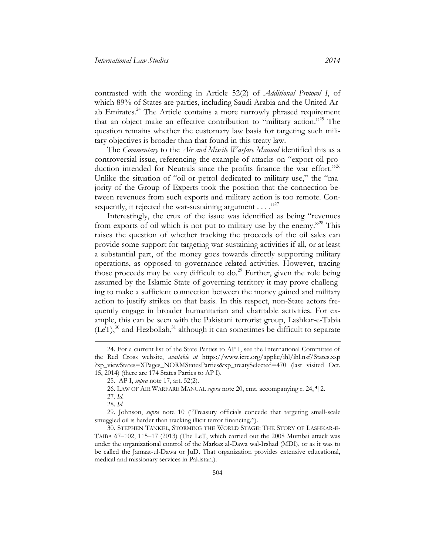contrasted with the wording in Article 52(2) of *Additional Protocol I*, of which 89% of States are parties, including Saudi Arabia and the United Arab Emirates.<sup>24</sup> The Article contains a more narrowly phrased requirement that an object make an effective contribution to "military action."<sup>25</sup> The question remains whether the customary law basis for targeting such military objectives is broader than that found in this treaty law.

The *Commentary* to the *Air and Missile Warfare Manual* identified this as a controversial issue, referencing the example of attacks on "export oil production intended for Neutrals since the profits finance the war effort."<sup>26</sup> Unlike the situation of "oil or petrol dedicated to military use," the "majority of the Group of Experts took the position that the connection between revenues from such exports and military action is too remote. Consequently, it rejected the war-sustaining argument  $\dots$ ."

Interestingly, the crux of the issue was identified as being "revenues from exports of oil which is not put to military use by the enemy."<sup>28</sup> This raises the question of whether tracking the proceeds of the oil sales can provide some support for targeting war-sustaining activities if all, or at least a substantial part, of the money goes towards directly supporting military operations, as opposed to governance-related activities. However, tracing those proceeds may be very difficult to do.<sup>29</sup> Further, given the role being assumed by the Islamic State of governing territory it may prove challenging to make a sufficient connection between the money gained and military action to justify strikes on that basis. In this respect, non-State actors frequently engage in broader humanitarian and charitable activities. For example, this can be seen with the Pakistani terrorist group, Lashkar-e-Tabia  $(LeT)$ ,<sup>30</sup> and Hezbollah,<sup>31</sup> although it can sometimes be difficult to separate

<sup>24.</sup> For a current list of the State Parties to AP I, see the International Committee of the Red Cross website, *available at* [https://www.icrc.org/applic/ihl/ihl.nsf/States.xsp](https://www.icrc.org/applic/ihl/ihl.nsf/States.xsp ?xp_viewStates=XPages_NORMStatesParties&xp_treatySelected=470)  [?xp\\_viewStates=XPages\\_NORMStates](https://www.icrc.org/applic/ihl/ihl.nsf/States.xsp ?xp_viewStates=XPages_NORMStatesParties&xp_treatySelected=470)Parties&xp\_treatySelected=470 (last visited Oct. 15, 2014) (there are 174 States Parties to AP I).

<sup>25.</sup> AP I, *supra* note 17, art. 52(2).

<sup>26.</sup> LAW OF AIR WARFARE MANUAL *supra* note 20, cmt. accompanying r. 24, ¶ 2.

<sup>27.</sup> *Id*.

<sup>28.</sup> *Id*.

<sup>29.</sup> Johnson, *supra* note 10 ("Treasury officials concede that targeting small-scale smuggled oil is harder than tracking illicit terror financing.").

<sup>30.</sup> STEPHEN TANKEL, STORMING THE WORLD STAGE: THE STORY OF LASHKAR-E-TAIBA 67–102, 115–17 (2013) (The LeT, which carried out the 2008 Mumbai attack was under the organizational control of the Markaz al-Dawa wal-Irshad (MDI), or as it was to be called the Jamaat-ul-Dawa or JuD. That organization provides extensive educational, medical and missionary services in Pakistan.).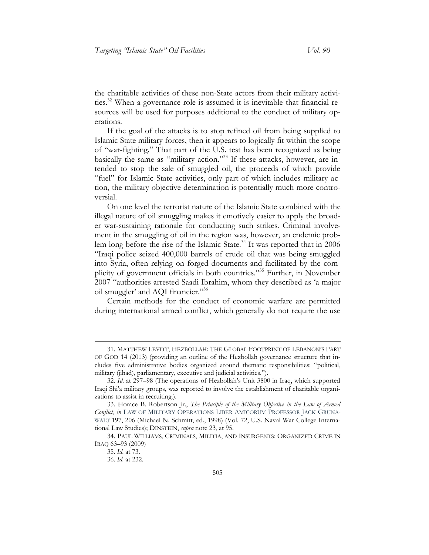the charitable activities of these non-State actors from their military activities.<sup>32</sup> When a governance role is assumed it is inevitable that financial resources will be used for purposes additional to the conduct of military operations.

If the goal of the attacks is to stop refined oil from being supplied to Islamic State military forces, then it appears to logically fit within the scope of "war-fighting." That part of the U.S. test has been recognized as being basically the same as "military action."<sup>33</sup> If these attacks, however, are intended to stop the sale of smuggled oil, the proceeds of which provide "fuel" for Islamic State activities, only part of which includes military action, the military objective determination is potentially much more controversial.

On one level the terrorist nature of the Islamic State combined with the illegal nature of oil smuggling makes it emotively easier to apply the broader war-sustaining rationale for conducting such strikes. Criminal involvement in the smuggling of oil in the region was, however, an endemic problem long before the rise of the Islamic State.<sup>34</sup> It was reported that in 2006 "Iraqi police seized 400,000 barrels of crude oil that was being smuggled into Syria, often relying on forged documents and facilitated by the complicity of government officials in both countries."<sup>35</sup> Further, in November 2007 "authorities arrested Saadi Ibrahim, whom they described as 'a major oil smuggler' and AQI financier."36

Certain methods for the conduct of economic warfare are permitted during international armed conflict, which generally do not require the use

<sup>31.</sup> MATTHEW LEVITT, HEZBOLLAH: THE GLOBAL FOOTPRINT OF LEBANON'S PART OF GOD 14 (2013) (providing an outline of the Hezbollah governance structure that includes five administrative bodies organized around thematic responsibilities: "political, military (jihad), parliamentary, executive and judicial activities.").

<sup>32.</sup> *Id*. at 297–98 (The operations of Hezbollah's Unit 3800 in Iraq, which supported Iraqi Shi'a military groups, was reported to involve the establishment of charitable organizations to assist in recruiting.).

<sup>33.</sup> Horace B. Robertson Jr., *The Principle of the Military Objective in the Law of Armed Conflict*, *in* LAW OF MILITARY OPERATIONS LIBER AMICORUM PROFESSOR JACK GRUNA-WALT 197, 206 (Michael N. Schmitt, ed., 1998) (Vol. 72, U.S. Naval War College International Law Studies); DINSTEIN, *supra* note 23, at 95.

<sup>34.</sup> PAUL WILLIAMS, CRIMINALS, MILITIA, AND INSURGENTS: ORGANIZED CRIME IN IRAQ 63–93 (2009)

<sup>35.</sup> *Id*. at 73.

<sup>36.</sup> *Id*. at 232.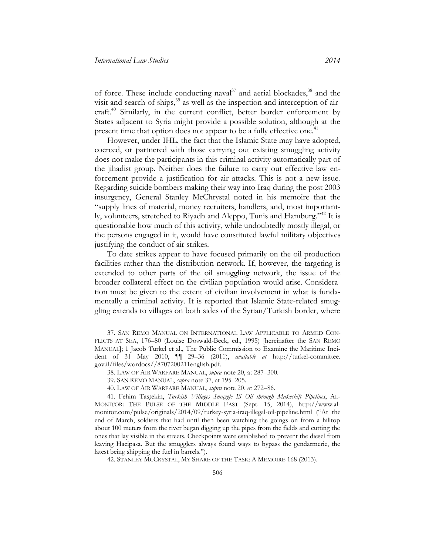of force. These include conducting naval $37$  and aerial blockades,  $38$  and the visit and search of ships, $39$  as well as the inspection and interception of aircraft.<sup>40</sup> Similarly, in the current conflict, better border enforcement by States adjacent to Syria might provide a possible solution, although at the present time that option does not appear to be a fully effective one.<sup>41</sup>

However, under IHL, the fact that the Islamic State may have adopted, coerced, or partnered with those carrying out existing smuggling activity does not make the participants in this criminal activity automatically part of the jihadist group. Neither does the failure to carry out effective law enforcement provide a justification for air attacks. This is not a new issue. Regarding suicide bombers making their way into Iraq during the post 2003 insurgency, General Stanley McChrystal noted in his memoire that the "supply lines of material, money recruiters, handlers, and, most importantly, volunteers, stretched to Riyadh and Aleppo, Tunis and Hamburg."<sup>42</sup> It is questionable how much of this activity, while undoubtedly mostly illegal, or the persons engaged in it, would have constituted lawful military objectives justifying the conduct of air strikes.

To date strikes appear to have focused primarily on the oil production facilities rather than the distribution network. If, however, the targeting is extended to other parts of the oil smuggling network, the issue of the broader collateral effect on the civilian population would arise. Consideration must be given to the extent of civilian involvement in what is fundamentally a criminal activity. It is reported that Islamic State-related smuggling extends to villages on both sides of the Syrian/Turkish border, where

42. STANLEY MCCRYSTAL, MY SHARE OF THE TASK: A MEMOIRE 168 (2013).

<sup>37.</sup> SAN REMO MANUAL ON INTERNATIONAL LAW APPLICABLE TO ARMED CON-FLICTS AT SEA, 176–80 (Louise Doswald-Beck, ed., 1995) [hereinafter the SAN REMO MANUAL]; 1 Jacob Turkel et al., The Public Commission to Examine the Maritime Incident of 31 May 2010, ¶¶ 29–36 (2011), *available at* [http://turkel-committee.](http://www.turkel-committee.com/files/wordocs//8707200211english.pdf)  [gov.il/files/wordocs//8707200211english.pdf.](http://www.turkel-committee.com/files/wordocs//8707200211english.pdf)

<sup>38.</sup> LAW OF AIR WARFARE MANUAL, *supra* note 20, at 287–300.

<sup>39.</sup> SAN REMO MANUAL, *supra* note 37, at 195–205.

<sup>40.</sup> LAW OF AIR WARFARE MANUAL, *supra* note 20, at 272–86.

<sup>41.</sup> Fehim Taştekin, *Turkish Villages Smuggle IS Oil through Makeshift Pipelines*, AL-MONITOR: THE PULSE OF THE MIDDLE EAST (Sept. 15, 2014), http://www.almonitor.com/pulse/originals/2014/09/turkey-syria-iraq-illegal-oil-pipeline.html ("At the end of March, soldiers that had until then been watching the goings on from a hilltop about 100 meters from the river began digging up the pipes from the fields and cutting the ones that lay visible in the streets. Checkpoints were established to prevent the diesel from leaving Hacipasa. But the smugglers always found ways to bypass the gendarmerie, the latest being shipping the fuel in barrels.").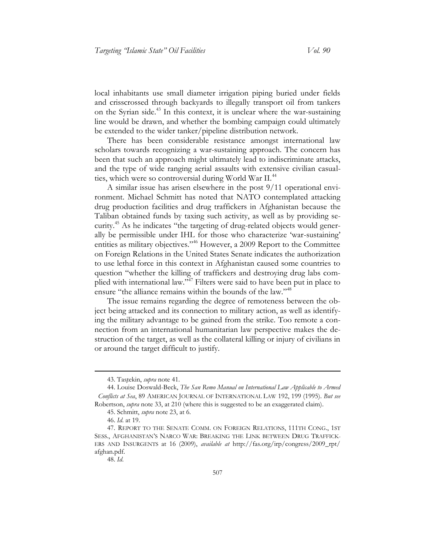local inhabitants use small diameter irrigation piping buried under fields and crisscrossed through backyards to illegally transport oil from tankers on the Syrian side.<sup>43</sup> In this context, it is unclear where the war-sustaining line would be drawn, and whether the bombing campaign could ultimately be extended to the wider tanker/pipeline distribution network.

There has been considerable resistance amongst international law scholars towards recognizing a war-sustaining approach. The concern has been that such an approach might ultimately lead to indiscriminate attacks, and the type of wide ranging aerial assaults with extensive civilian casualties, which were so controversial during World War II.<sup>44</sup>

A similar issue has arisen elsewhere in the post 9/11 operational environment. Michael Schmitt has noted that NATO contemplated attacking drug production facilities and drug traffickers in Afghanistan because the Taliban obtained funds by taxing such activity, as well as by providing security.<sup>45</sup> As he indicates "the targeting of drug-related objects would generally be permissible under IHL for those who characterize 'war-sustaining' entities as military objectives."<sup>46</sup> However, a 2009 Report to the Committee on Foreign Relations in the United States Senate indicates the authorization to use lethal force in this context in Afghanistan caused some countries to question "whether the killing of traffickers and destroying drug labs complied with international law."<sup>47</sup> Filters were said to have been put in place to ensure "the alliance remains within the bounds of the law."<sup>48</sup>

The issue remains regarding the degree of remoteness between the object being attacked and its connection to military action, as well as identifying the military advantage to be gained from the strike. Too remote a connection from an international humanitarian law perspective makes the destruction of the target, as well as the collateral killing or injury of civilians in or around the target difficult to justify.

<sup>43.</sup> Taştekin, *supra* note 41.

<sup>44.</sup> Louise Doswald-Beck, *The San Remo Manual on International Law Applicable to Armed Conflicts at Sea*, 89 AMERICAN JOURNAL OF INTERNATIONAL LAW 192, 199 (1995). *But see* Robertson, *supra* note 33, at 210 (where this is suggested to be an exaggerated claim).

<sup>45.</sup> Schmitt, *supra* note 23, at 6.

<sup>46.</sup> *Id*. at 19.

<sup>47.</sup> REPORT TO THE SENATE COMM. ON FOREIGN RELATIONS, 111TH CONG., 1ST SESS., AFGHANISTAN'S NARCO WAR: BREAKING THE LINK BETWEEN DRUG TRAFFICK-ERS AND INSURGENTS at 16 (2009), *available at* [http://fas.org/irp/congress/2009\\_rpt/](http://fas.org/irp/congress/2009_rpt/afghan.pdf)  afghan.pdf.

<sup>48.</sup> *Id*.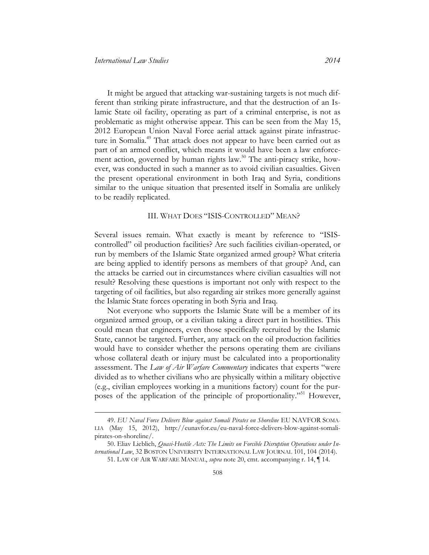It might be argued that attacking war-sustaining targets is not much different than striking pirate infrastructure, and that the destruction of an Islamic State oil facility, operating as part of a criminal enterprise, is not as problematic as might otherwise appear. This can be seen from the May 15, 2012 European Union Naval Force aerial attack against pirate infrastructure in Somalia.<sup>49</sup> That attack does not appear to have been carried out as part of an armed conflict, which means it would have been a law enforcement action, governed by human rights law.<sup>50</sup> The anti-piracy strike, however, was conducted in such a manner as to avoid civilian casualties. Given the present operational environment in both Iraq and Syria, conditions similar to the unique situation that presented itself in Somalia are unlikely to be readily replicated.

#### III. WHAT DOES "ISIS-CONTROLLED" MEAN?

<span id="page-10-0"></span>Several issues remain. What exactly is meant by reference to "ISIScontrolled" oil production facilities? Are such facilities civilian-operated, or run by members of the Islamic State organized armed group? What criteria are being applied to identify persons as members of that group? And, can the attacks be carried out in circumstances where civilian casualties will not result? Resolving these questions is important not only with respect to the targeting of oil facilities, but also regarding air strikes more generally against the Islamic State forces operating in both Syria and Iraq.

Not everyone who supports the Islamic State will be a member of its organized armed group, or a civilian taking a direct part in hostilities. This could mean that engineers, even those specifically recruited by the Islamic State, cannot be targeted. Further, any attack on the oil production facilities would have to consider whether the persons operating them are civilians whose collateral death or injury must be calculated into a proportionality assessment. The *Law of Air Warfare Commentary* indicates that experts "were divided as to whether civilians who are physically within a military objective (e.g., civilian employees working in a munitions factory) count for the purposes of the application of the principle of proportionality."<sup>51</sup> However,

<sup>49.</sup> *EU Naval Force Delivers Blow against Somali Pirates on Shoreline* EU NAVFOR SOMA-LIA (May 15, 2012), http://eunavfor.eu/eu-naval-force-delivers-blow-against-somalipirates-on-shoreline/.

<sup>50.</sup> Eliav Lieblich, *Quasi-Hostile Acts: The Limits on Forcible Disruption Operations under International Law*, 32 BOSTON UNIVERSITY INTERNATIONAL LAW JOURNAL 101, 104 (2014).

<sup>51.</sup> LAW OF AIR WARFARE MANUAL, *supra* note 20, cmt. accompanying r. 14, ¶ 14.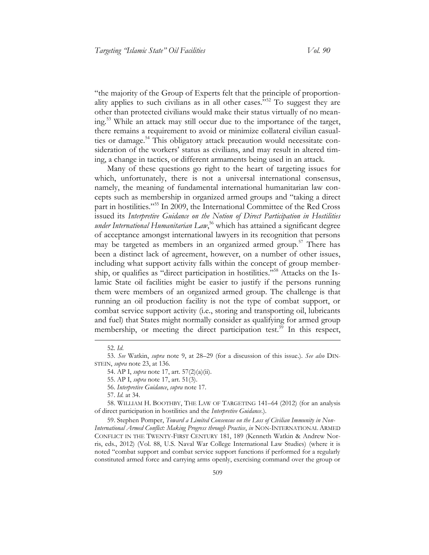"the majority of the Group of Experts felt that the principle of proportionality applies to such civilians as in all other cases."<sup>52</sup> To suggest they are other than protected civilians would make their status virtually of no meaning.<sup>53</sup> While an attack may still occur due to the importance of the target, there remains a requirement to avoid or minimize collateral civilian casualties or damage.<sup>54</sup> This obligatory attack precaution would necessitate consideration of the workers' status as civilians, and may result in altered timing, a change in tactics, or different armaments being used in an attack.

Many of these questions go right to the heart of targeting issues for which, unfortunately, there is not a universal international consensus, namely, the meaning of fundamental international humanitarian law concepts such as membership in organized armed groups and "taking a direct part in hostilities." <sup>55</sup> In 2009, the International Committee of the Red Cross issued its *Interpretive Guidance on the Notion of Direct Participation in Hostilities under International Humanitarian Law*, <sup>56</sup> which has attained a significant degree of acceptance amongst international lawyers in its recognition that persons may be targeted as members in an organized armed group.<sup>57</sup> There has been a distinct lack of agreement, however, on a number of other issues, including what support activity falls within the concept of group membership, or qualifies as "direct participation in hostilities." <sup>58</sup> Attacks on the Islamic State oil facilities might be easier to justify if the persons running them were members of an organized armed group. The challenge is that running an oil production facility is not the type of combat support, or combat service support activity (i.e., storing and transporting oil, lubricants and fuel) that States might normally consider as qualifying for armed group membership, or meeting the direct participation test.<sup>59</sup> In this respect,

 $\overline{a}$ 

59. Stephen Pomper, *Toward a Limited Consensus on the Loss of Civilian Immunity in Non-*

*International Armed Conflict: Making Progress through Practice*, *in* NON-INTERNATIONAL ARMED CONFLICT IN THE TWENTY-FIRST CENTURY 181, 189 (Kenneth Watkin & Andrew Norris, eds., 2012) (Vol. 88, U.S. Naval War College International Law Studies) (where it is noted "combat support and combat service support functions if performed for a regularly constituted armed force and carrying arms openly, exercising command over the group or

<sup>52.</sup> *Id*.

<sup>53.</sup> *See* Watkin, *supra* note 9, at 28–29 (for a discussion of this issue.). *See also* DIN-STEIN, *supra* note 23, at 136.

<sup>54.</sup> AP I, *supra* note 17, art. 57(2)(a)(ii).

<sup>55.</sup> AP I, *supra* note 17, art. 51(3).

<sup>56.</sup> *Interpretive Guidance*, *supra* note 17.

<sup>57.</sup> *Id.* at 34.

<sup>58.</sup> WILLIAM H. BOOTHBY, THE LAW OF TARGETING 141–64 (2012) (for an analysis of direct participation in hostilities and the *Interpretive Guidance*.).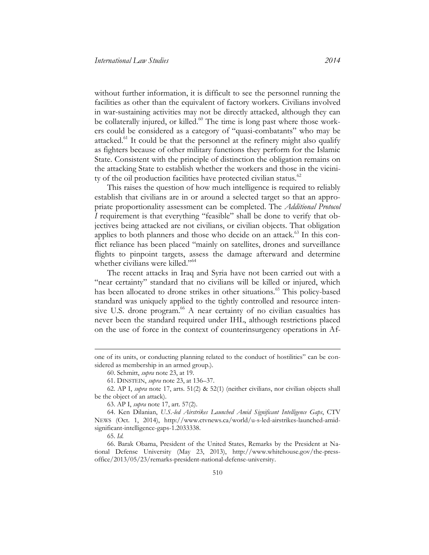without further information, it is difficult to see the personnel running the facilities as other than the equivalent of factory workers. Civilians involved in war-sustaining activities may not be directly attacked, although they can be collaterally injured, or killed.<sup>60</sup> The time is long past where those workers could be considered as a category of "quasi-combatants" who may be attacked.<sup>61</sup> It could be that the personnel at the refinery might also qualify as fighters because of other military functions they perform for the Islamic State. Consistent with the principle of distinction the obligation remains on the attacking State to establish whether the workers and those in the vicinity of the oil production facilities have protected civilian status.<sup>62</sup>

This raises the question of how much intelligence is required to reliably establish that civilians are in or around a selected target so that an appropriate proportionality assessment can be completed. The *Additional Protocol I* requirement is that everything "feasible" shall be done to verify that objectives being attacked are not civilians, or civilian objects. That obligation applies to both planners and those who decide on an attack.<sup>63</sup> In this conflict reliance has been placed "mainly on satellites, drones and surveillance flights to pinpoint targets, assess the damage afterward and determine whether civilians were killed."<sup>64</sup>

The recent attacks in Iraq and Syria have not been carried out with a "near certainty" standard that no civilians will be killed or injured, which has been allocated to drone strikes in other situations.<sup>65</sup> This policy-based standard was uniquely applied to the tightly controlled and resource intensive U.S. drone program.<sup>66</sup> A near certainty of no civilian casualties has never been the standard required under IHL, although restrictions placed on the use of force in the context of counterinsurgency operations in Af-

65. *Id.*

one of its units, or conducting planning related to the conduct of hostilities" can be considered as membership in an armed group.).

<sup>60.</sup> Schmitt, *supra* note 23, at 19.

<sup>61.</sup> DINSTEIN, *supra* note 23, at 136–37.

<sup>62.</sup> AP I, *supra* note 17, arts. 51(2) & 52(1) (neither civilians, nor civilian objects shall be the object of an attack).

<sup>63.</sup> AP I, *supra* note 17, art. 57(2).

<sup>64.</sup> Ken Dilanian, *U.S.-led Airstrikes Launched Amid Significant Intelligence Gaps*, CTV NEWS (Oct. 1, 2014), http://www.ctvnews.ca/world/u-s-led-airstrikes-launched-amidsignificant-intelligence-gaps-1.2033338.

<sup>66.</sup> Barak Obama, President of the United States, Remarks by the President at National Defense University (May 23, 2013), http://www.whitehouse.gov/the-pressoffice/2013/05/23/remarks-president-national-defense-university.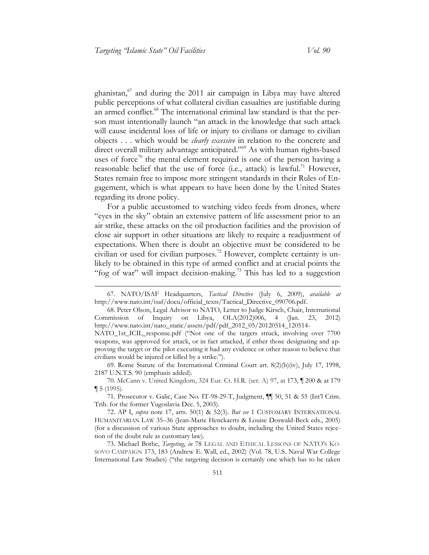ghanistan, $67$  and during the 2011 air campaign in Libya may have altered public perceptions of what collateral civilian casualties are justifiable during an armed conflict.<sup>68</sup> The international criminal law standard is that the person must intentionally launch "an attack in the knowledge that such attack will cause incidental loss of life or injury to civilians or damage to civilian objects . . . which would be *clearly excessive* in relation to the concrete and direct overall military advantage anticipated."<sup>69</sup> As with human rights-based uses of force<sup>70</sup> the mental element required is one of the person having a reasonable belief that the use of force (i.e., attack) is lawful.<sup>71</sup> However, States remain free to impose more stringent standards in their Rules of Engagement, which is what appears to have been done by the United States regarding its drone policy.

For a public accustomed to watching video feeds from drones, where "eyes in the sky" obtain an extensive pattern of life assessment prior to an air strike, these attacks on the oil production facilities and the provision of close air support in other situations are likely to require a readjustment of expectations. When there is doubt an objective must be considered to be civilian or used for civilian purposes. <sup>72</sup> However, complete certainty is unlikely to be obtained in this type of armed conflict and at crucial points the "fog of war" will impact decision-making.<sup>73</sup> This has led to a suggestion

69. Rome Statute of the International Criminal Court art. 8(2)(b)(iv), July 17, 1998, 2187 U.N.T.S. 90 (emphasis added).

<sup>67.</sup> NATO/ISAF Headquarters, *Tactical Directive* (July 6, 2009), *available at*  http://www.nato.int/isaf/docu/official\_texts/Tactical\_Directive\_090706.pdf.

<sup>68.</sup> Peter Olson, Legal Advisor to NATO, Letter to Judge Kirsch, Chair, International Commission of Inquiry on Libya, OLA(2012)006, 4 (Jan. 23, 2012) http://www.nato.int/nato\_static/assets/pdf/pdf\_2012\_05/20120514\_120514-

NATO\_1st\_ICIL\_response.pdf ("Not one of the targets struck, involving over 7700 weapons, was approved for attack, or in fact attacked, if either those designating and approving the target or the pilot executing it had any evidence or other reason to believe that civilians would be injured or killed by a strike.").

<sup>70.</sup> McCann v. United Kingdom, 324 Eur. Ct. H.R. (ser. A) 97, at 173, ¶ 200 & at 179 ¶ 5 (1995).

<sup>71.</sup> Prosecutor v. Galic, Case No. IT-98-29-T, Judgment, ¶¶ 50, 51 & 55 (Int'l Crim. Trib. for the former Yugoslavia Dec. 5, 2003).

<sup>72.</sup> AP I, *supra* note 17, arts. 50(1) & 52(3). *But see* 1 CUSTOMARY INTERNATIONAL HUMANITARIAN LAW 35–36 (Jean-Marie Henckaerts & Louise Doswald-Beck eds., 2005) (for a discussion of various State approaches to doubt, including the United States rejection of the doubt rule as customary law).

<sup>73.</sup> Michael Bothe, *Targeting*, *in* 78 LEGAL AND ETHICAL LESSONS OF NATO'S KO-SOVO CAMPAIGN 173, 183 (Andrew E. Wall, ed., 2002) (Vol. 78, U.S. Naval War College International Law Studies) ("the targeting decision is certainly one which has to be taken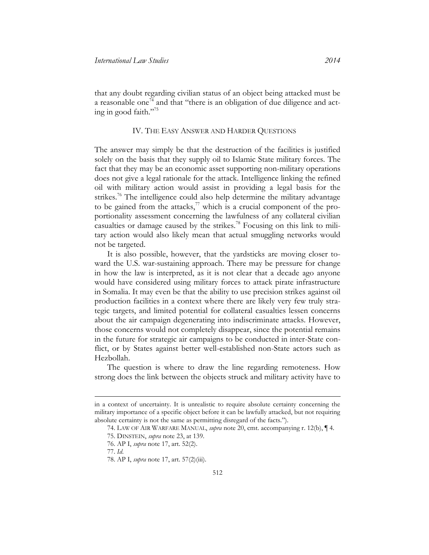that any doubt regarding civilian status of an object being attacked must be a reasonable one<sup>74</sup> and that "there is an obligation of due diligence and acting in good faith." 75

#### IV. THE EASY ANSWER AND HARDER QUESTIONS

<span id="page-14-0"></span>The answer may simply be that the destruction of the facilities is justified solely on the basis that they supply oil to Islamic State military forces. The fact that they may be an economic asset supporting non-military operations does not give a legal rationale for the attack. Intelligence linking the refined oil with military action would assist in providing a legal basis for the strikes.<sup>76</sup> The intelligence could also help determine the military advantage to be gained from the attacks,<sup>77</sup> which is a crucial component of the proportionality assessment concerning the lawfulness of any collateral civilian casualties or damage caused by the strikes.<sup>78</sup> Focusing on this link to military action would also likely mean that actual smuggling networks would not be targeted.

It is also possible, however, that the yardsticks are moving closer toward the U.S. war-sustaining approach. There may be pressure for change in how the law is interpreted, as it is not clear that a decade ago anyone would have considered using military forces to attack pirate infrastructure in Somalia. It may even be that the ability to use precision strikes against oil production facilities in a context where there are likely very few truly strategic targets, and limited potential for collateral casualties lessen concerns about the air campaign degenerating into indiscriminate attacks. However, those concerns would not completely disappear, since the potential remains in the future for strategic air campaigns to be conducted in inter-State conflict, or by States against better well-established non-State actors such as Hezbollah.

The question is where to draw the line regarding remoteness. How strong does the link between the objects struck and military activity have to

77. *Id*.

in a context of uncertainty. It is unrealistic to require absolute certainty concerning the military importance of a specific object before it can be lawfully attacked, but not requiring absolute certainty is not the same as permitting disregard of the facts.").

<sup>74.</sup> LAW OF AIR WARFARE MANUAL, *supra* note 20, cmt. accompanying r. 12(b), ¶ 4.

<sup>75.</sup> DINSTEIN, *supra* note 23, at 139.

<sup>76.</sup> AP I, *supra* note 17, art. 52(2).

<sup>78.</sup> AP I, *supra* note 17, art. 57(2)(iii).